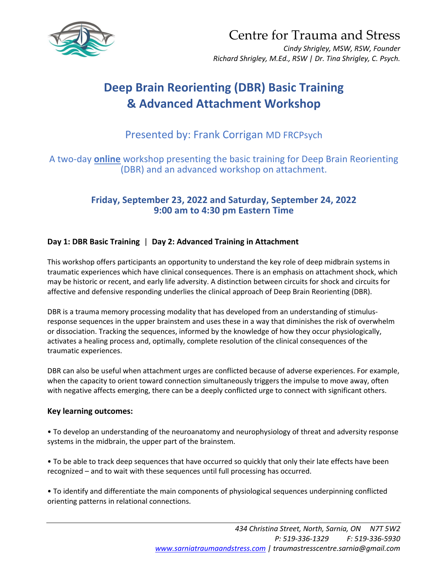

Centre for Trauma and Stress

*Cindy Shrigley, MSW, RSW, Founder Richard Shrigley, M.Ed., RSW | Dr. Tina Shrigley, C. Psych.*

# **Deep Brain Reorienting (DBR) Basic Training & Advanced Attachment Workshop**

## Presented by: Frank Corrigan MD FRCPsych

## A two-day **online** workshop presenting the basic training for Deep Brain Reorienting (DBR) and an advanced workshop on attachment.

## **Friday, September 23, 2022 and Saturday, September 24, 2022 9:00 am to 4:30 pm Eastern Time**

### **Day 1: DBR Basic Training** | **Day 2: Advanced Training in Attachment**

This workshop offers participants an opportunity to understand the key role of deep midbrain systems in traumatic experiences which have clinical consequences. There is an emphasis on attachment shock, which may be historic or recent, and early life adversity. A distinction between circuits for shock and circuits for affective and defensive responding underlies the clinical approach of Deep Brain Reorienting (DBR).

DBR is a trauma memory processing modality that has developed from an understanding of stimulusresponse sequences in the upper brainstem and uses these in a way that diminishes the risk of overwhelm or dissociation. Tracking the sequences, informed by the knowledge of how they occur physiologically, activates a healing process and, optimally, complete resolution of the clinical consequences of the traumatic experiences.

DBR can also be useful when attachment urges are conflicted because of adverse experiences. For example, when the capacity to orient toward connection simultaneously triggers the impulse to move away, often with negative affects emerging, there can be a deeply conflicted urge to connect with significant others.

#### **Key learning outcomes:**

• To develop an understanding of the neuroanatomy and neurophysiology of threat and adversity response systems in the midbrain, the upper part of the brainstem.

• To be able to track deep sequences that have occurred so quickly that only their late effects have been recognized – and to wait with these sequences until full processing has occurred.

• To identify and differentiate the main components of physiological sequences underpinning conflicted orienting patterns in relational connections.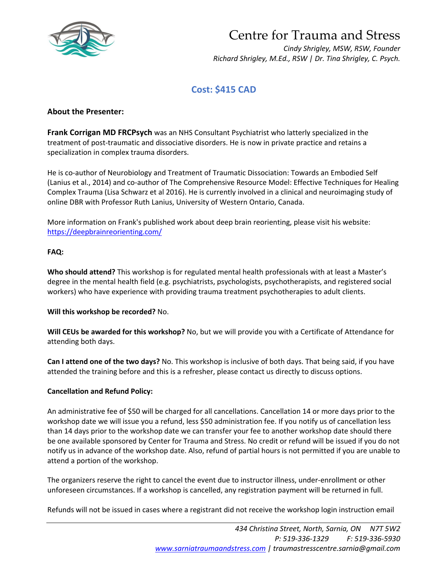

# Centre for Trauma and Stress

*Cindy Shrigley, MSW, RSW, Founder Richard Shrigley, M.Ed., RSW | Dr. Tina Shrigley, C. Psych.*

## **Cost: \$415 CAD**

#### **About the Presenter:**

**Frank Corrigan MD FRCPsych** was an NHS Consultant Psychiatrist who latterly specialized in the treatment of post-traumatic and dissociative disorders. He is now in private practice and retains a specialization in complex trauma disorders.

He is co-author of Neurobiology and Treatment of Traumatic Dissociation: Towards an Embodied Self (Lanius et al., 2014) and co-author of The Comprehensive Resource Model: Effective Techniques for Healing Complex Trauma (Lisa Schwarz et al 2016). He is currently involved in a clinical and neuroimaging study of online DBR with Professor Ruth Lanius, University of Western Ontario, Canada.

More information on Frank's published work about deep brain reorienting, please visit his website: https://deepbrainreorienting.com/

#### **FAQ:**

**Who should attend?** This workshop is for regulated mental health professionals with at least a Master's degree in the mental health field (e.g. psychiatrists, psychologists, psychotherapists, and registered social workers) who have experience with providing trauma treatment psychotherapies to adult clients.

#### **Will this workshop be recorded?** No.

**Will CEUs be awarded for this workshop?** No, but we will provide you with a Certificate of Attendance for attending both days.

**Can I attend one of the two days?** No. This workshop is inclusive of both days. That being said, if you have attended the training before and this is a refresher, please contact us directly to discuss options.

#### **Cancellation and Refund Policy:**

An administrative fee of \$50 will be charged for all cancellations. Cancellation 14 or more days prior to the workshop date we will issue you a refund, less \$50 administration fee. If you notify us of cancellation less than 14 days prior to the workshop date we can transfer your fee to another workshop date should there be one available sponsored by Center for Trauma and Stress. No credit or refund will be issued if you do not notify us in advance of the workshop date. Also, refund of partial hours is not permitted if you are unable to attend a portion of the workshop.

The organizers reserve the right to cancel the event due to instructor illness, under-enrollment or other unforeseen circumstances. If a workshop is cancelled, any registration payment will be returned in full.

Refunds will not be issued in cases where a registrant did not receive the workshop login instruction email